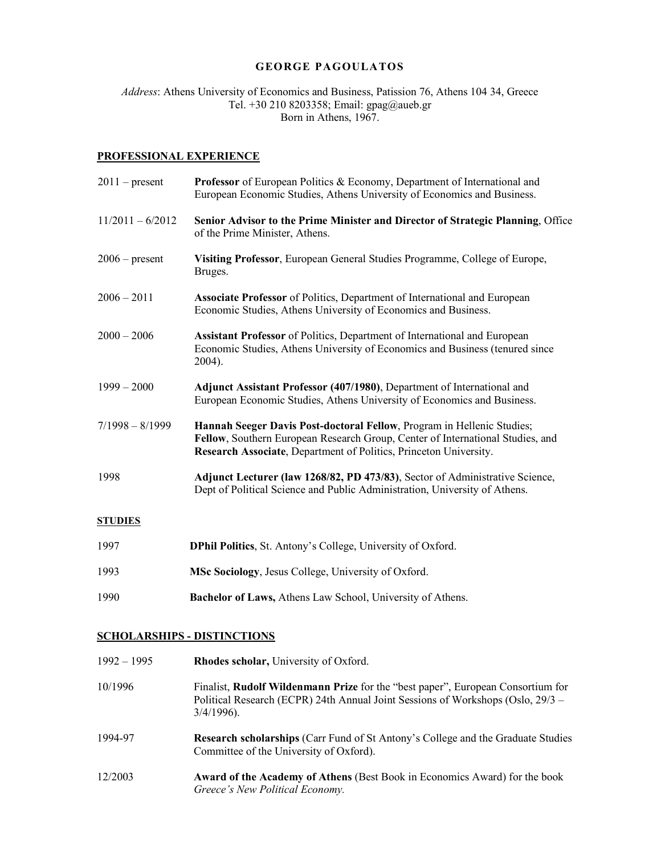### **GEORGE PAGOULATOS**

*Address*: Athens University of Economics and Business, Patission 76, Athens 104 34, Greece Tel. +30 210 8203358; Email: gpag@aueb.gr Born in Athens, 1967.

# **PROFESSIONAL EXPERIENCE**

| $2011$ – present   | <b>Professor</b> of European Politics & Economy, Department of International and<br>European Economic Studies, Athens University of Economics and Business.                                                                   |
|--------------------|-------------------------------------------------------------------------------------------------------------------------------------------------------------------------------------------------------------------------------|
| $11/2011 - 6/2012$ | Senior Advisor to the Prime Minister and Director of Strategic Planning, Office<br>of the Prime Minister, Athens.                                                                                                             |
| $2006$ – present   | Visiting Professor, European General Studies Programme, College of Europe,<br>Bruges.                                                                                                                                         |
| $2006 - 2011$      | <b>Associate Professor</b> of Politics, Department of International and European<br>Economic Studies, Athens University of Economics and Business.                                                                            |
| $2000 - 2006$      | <b>Assistant Professor</b> of Politics, Department of International and European<br>Economic Studies, Athens University of Economics and Business (tenured since<br>2004).                                                    |
| $1999 - 2000$      | Adjunct Assistant Professor (407/1980), Department of International and<br>European Economic Studies, Athens University of Economics and Business.                                                                            |
| $7/1998 - 8/1999$  | Hannah Seeger Davis Post-doctoral Fellow, Program in Hellenic Studies;<br>Fellow, Southern European Research Group, Center of International Studies, and<br>Research Associate, Department of Politics, Princeton University. |
| 1998               | Adjunct Lecturer (law 1268/82, PD 473/83), Sector of Administrative Science,<br>Dept of Political Science and Public Administration, University of Athens.                                                                    |
| <b>STUDIES</b>     |                                                                                                                                                                                                                               |
| 1997               | DPhil Politics, St. Antony's College, University of Oxford.                                                                                                                                                                   |
| 1993               | MSc Sociology, Jesus College, University of Oxford.                                                                                                                                                                           |
| 1990               | Bachelor of Laws, Athens Law School, University of Athens.                                                                                                                                                                    |

# **SCHOLARSHIPS - DISTINCTIONS**

| $1992 - 1995$ | Rhodes scholar, University of Oxford.                                                                                                                                                      |
|---------------|--------------------------------------------------------------------------------------------------------------------------------------------------------------------------------------------|
| 10/1996       | Finalist, <b>Rudolf Wildenmann Prize</b> for the "best paper", European Consortium for<br>Political Research (ECPR) 24th Annual Joint Sessions of Workshops (Oslo, 29/3 –<br>$3/4/1996$ ). |
| 1994-97       | Research scholarships (Carr Fund of St Antony's College and the Graduate Studies<br>Committee of the University of Oxford).                                                                |
| 12/2003       | <b>Award of the Academy of Athens (Best Book in Economics Award) for the book</b><br>Greece's New Political Economy.                                                                       |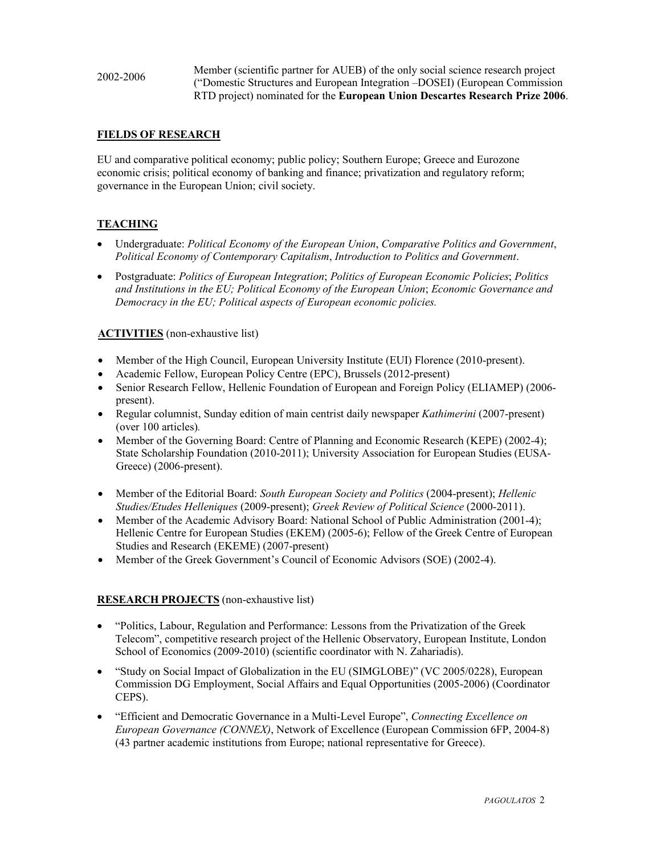2002-2006 Member (scientific partner for AUEB) of the only social science research project ("Domestic Structures and European Integration –DOSEI) (European Commission RTD project) nominated for the **European Union Descartes Research Prize 2006**.

### **FIELDS OF RESEARCH**

EU and comparative political economy; public policy; Southern Europe; Greece and Eurozone economic crisis; political economy of banking and finance; privatization and regulatory reform; governance in the European Union; civil society.

### **TEACHING**

- Undergraduate: *Political Economy of the European Union*, *Comparative Politics and Government*, *Political Economy of Contemporary Capitalism*, *Introduction to Politics and Government*.
- Postgraduate: *Politics of European Integration*; *Politics of European Economic Policies*; *Politics and Institutions in the EU; Political Economy of the European Union*; *Economic Governance and Democracy in the EU; Political aspects of European economic policies.*

#### **ACTIVITIES** (non-exhaustive list)

- Member of the High Council, European University Institute (EUI) Florence (2010-present).
- Academic Fellow, European Policy Centre (EPC), Brussels (2012-present)
- Senior Research Fellow, Hellenic Foundation of European and Foreign Policy (ELIAMEP) (2006present).
- Regular columnist, Sunday edition of main centrist daily newspaper *Kathimerini* (2007-present) (over 100 articles)*.*
- Member of the Governing Board: Centre of Planning and Economic Research (KEPE) (2002-4); State Scholarship Foundation (2010-2011); University Association for European Studies (EUSA-Greece) (2006-present).
- Member of the Editorial Board: *South European Society and Politics* (2004-present); *Hellenic Studies/Etudes Helleniques* (2009-present); *Greek Review of Political Science* (2000-2011).
- Member of the Academic Advisory Board: National School of Public Administration (2001-4); Hellenic Centre for European Studies (EKEM) (2005-6); Fellow of the Greek Centre of European Studies and Research (EKEME) (2007-present)
- Member of the Greek Government's Council of Economic Advisors (SOE) (2002-4).

### **RESEARCH PROJECTS** (non-exhaustive list)

- "Politics, Labour, Regulation and Performance: Lessons from the Privatization of the Greek Telecom", competitive research project of the Hellenic Observatory, European Institute, London School of Economics (2009-2010) (scientific coordinator with N. Zahariadis).
- "Study on Social Impact of Globalization in the EU (SIMGLOBE)" (VC 2005/0228), European Commission DG Employment, Social Affairs and Equal Opportunities (2005-2006) (Coordinator CEPS).
- "Efficient and Democratic Governance in a Multi-Level Europe", *Connecting Excellence on European Governance (CONNEX)*, Network of Excellence (European Commission 6FP, 2004-8) (43 partner academic institutions from Europe; national representative for Greece).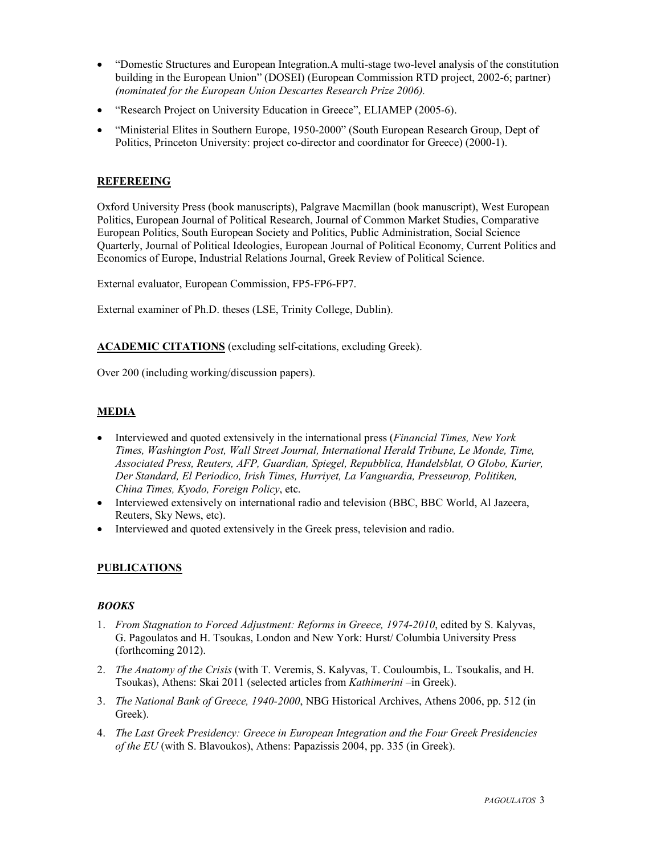- "Domestic Structures and European Integration.A multi-stage two-level analysis of the constitution building in the European Union" (DOSEI) (European Commission RTD project, 2002-6; partner) *(nominated for the European Union Descartes Research Prize 2006).*
- "Research Project on University Education in Greece", ELIAMEP (2005-6).
- "Ministerial Elites in Southern Europe, 1950-2000" (South European Research Group, Dept of Politics, Princeton University: project co-director and coordinator for Greece) (2000-1).

# **REFEREEING**

Oxford University Press (book manuscripts), Palgrave Macmillan (book manuscript), West European Politics, European Journal of Political Research, Journal of Common Market Studies, Comparative European Politics, South European Society and Politics, Public Administration, Social Science Quarterly, Journal of Political Ideologies, European Journal of Political Economy, Current Politics and Economics of Europe, Industrial Relations Journal, Greek Review of Political Science.

External evaluator, European Commission, FP5-FP6-FP7.

External examiner of Ph.D. theses (LSE, Trinity College, Dublin).

**ACADEMIC CITATIONS** (excluding self-citations, excluding Greek).

Over 200 (including working/discussion papers).

### **MEDIA**

- Interviewed and quoted extensively in the international press (*Financial Times, New York Times, Washington Post, Wall Street Journal, International Herald Tribune, Le Monde, Time, Associated Press, Reuters, AFP, Guardian, Spiegel, Repubblica, Handelsblat, O Globo, Kurier, Der Standard, El Periodico, Irish Times, Hurriyet, La Vanguardia, Presseurop, Politiken, China Times, Kyodo, Foreign Policy*, etc.
- Interviewed extensively on international radio and television (BBC, BBC World, Al Jazeera, Reuters, Sky News, etc).
- Interviewed and quoted extensively in the Greek press, television and radio.

### **PUBLICATIONS**

### *BOOKS*

- 1. *From Stagnation to Forced Adjustment: Reforms in Greece, 1974-2010*, edited by S. Kalyvas, G. Pagoulatos and H. Tsoukas, London and New York: Hurst/ Columbia University Press (forthcoming 2012).
- 2. *The Anatomy of the Crisis* (with T. Veremis, S. Kalyvas, T. Couloumbis, L. Tsoukalis, and H. Tsoukas), Athens: Skai 2011 (selected articles from *Kathimerini* –in Greek).
- 3. *The National Bank of Greece, 1940-2000*, NBG Historical Archives, Athens 2006, pp. 512 (in Greek).
- 4. *The Last Greek Presidency: Greece in European Integration and the Four Greek Presidencies of the EU* (with S. Blavoukos), Athens: Papazissis 2004, pp. 335 (in Greek).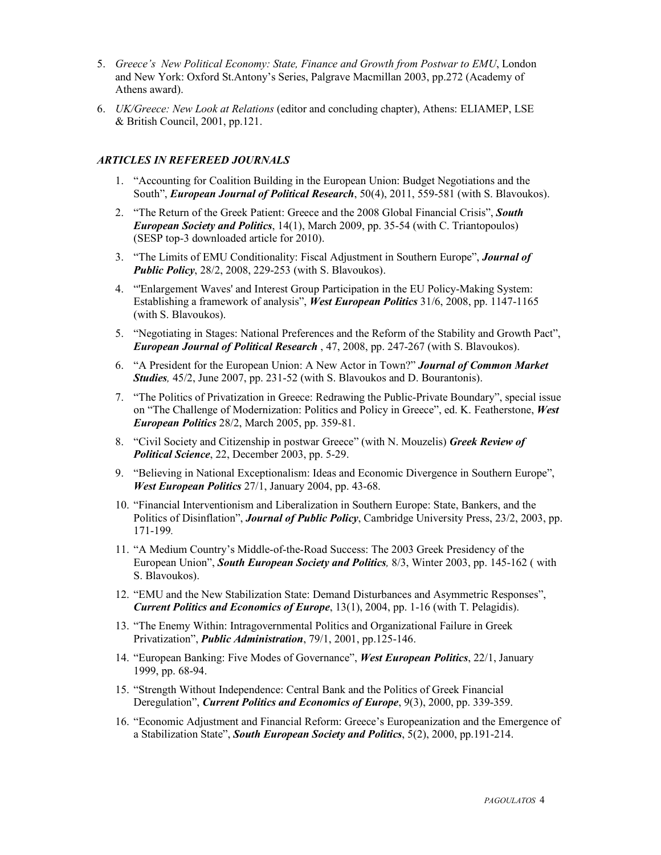- 5. *Greece's New Political Economy: State, Finance and Growth from Postwar to EMU*, London and New York: Oxford St.Antony's Series, Palgrave Macmillan 2003, pp.272 (Academy of Athens award).
- 6. *UK/Greece: New Look at Relations* (editor and concluding chapter), Athens: ELIAMEP, LSE & British Council, 2001, pp.121.

#### *ARTICLES IN REFEREED JOURNALS*

- 1. "Accounting for Coalition Building in the European Union: Budget Negotiations and the South", *European Journal of Political Research*, 50(4), 2011, 559-581 (with S. Blavoukos).
- 2. "The Return of the Greek Patient: Greece and the 2008 Global Financial Crisis", *South European Society and Politics*, 14(1), March 2009, pp. 35-54 (with C. Triantopoulos) (SESP top-3 downloaded article for 2010).
- 3. "The Limits of EMU Conditionality: Fiscal Adjustment in Southern Europe", *Journal of Public Policy*, 28/2, 2008, 229-253 (with S. Blavoukos).
- 4. "'Enlargement Waves' and Interest Group Participation in the EU Policy-Making System: Establishing a framework of analysis", *West European Politics* 31/6, 2008, pp. 1147-1165 (with S. Blavoukos).
- 5. "Negotiating in Stages: National Preferences and the Reform of the Stability and Growth Pact", *European Journal of Political Research* , 47, 2008, pp. 247-267 (with S. Blavoukos).
- 6. "A President for the European Union: A New Actor in Town?" *Journal of Common Market Studies,* 45/2, June 2007, pp. 231-52 (with S. Blavoukos and D. Bourantonis).
- 7. "The Politics of Privatization in Greece: Redrawing the Public-Private Boundary", special issue on "The Challenge of Modernization: Politics and Policy in Greece", ed. K. Featherstone, *West European Politics* 28/2, March 2005, pp. 359-81.
- 8. "Civil Society and Citizenship in postwar Greece" (with N. Mouzelis) *Greek Review of Political Science*, 22, December 2003, pp. 5-29.
- 9. "Believing in National Exceptionalism: Ideas and Economic Divergence in Southern Europe", *West European Politics* 27/1, January 2004, pp. 43-68.
- 10. "Financial Interventionism and Liberalization in Southern Europe: State, Bankers, and the Politics of Disinflation", *Journal of Public Policy*, Cambridge University Press, 23/2, 2003, pp. 171-199*.*
- 11. "A Medium Country's Middle-of-the-Road Success: The 2003 Greek Presidency of the European Union", *South European Society and Politics,* 8/3, Winter 2003, pp. 145-162 ( with S. Blavoukos).
- 12. "EMU and the New Stabilization State: Demand Disturbances and Asymmetric Responses", *Current Politics and Economics of Europe*, 13(1), 2004, pp. 1-16 (with T. Pelagidis).
- 13. "The Enemy Within: Intragovernmental Politics and Organizational Failure in Greek Privatization", *Public Administration*, 79/1, 2001, pp.125-146.
- 14. "European Banking: Five Modes of Governance", *West European Politics*, 22/1, January 1999, pp. 68-94.
- 15. "Strength Without Independence: Central Bank and the Politics of Greek Financial Deregulation", *Current Politics and Economics of Europe*, 9(3), 2000, pp. 339-359.
- 16. "Economic Adjustment and Financial Reform: Greece's Europeanization and the Emergence of a Stabilization State", *South European Society and Politics*, 5(2), 2000, pp.191-214.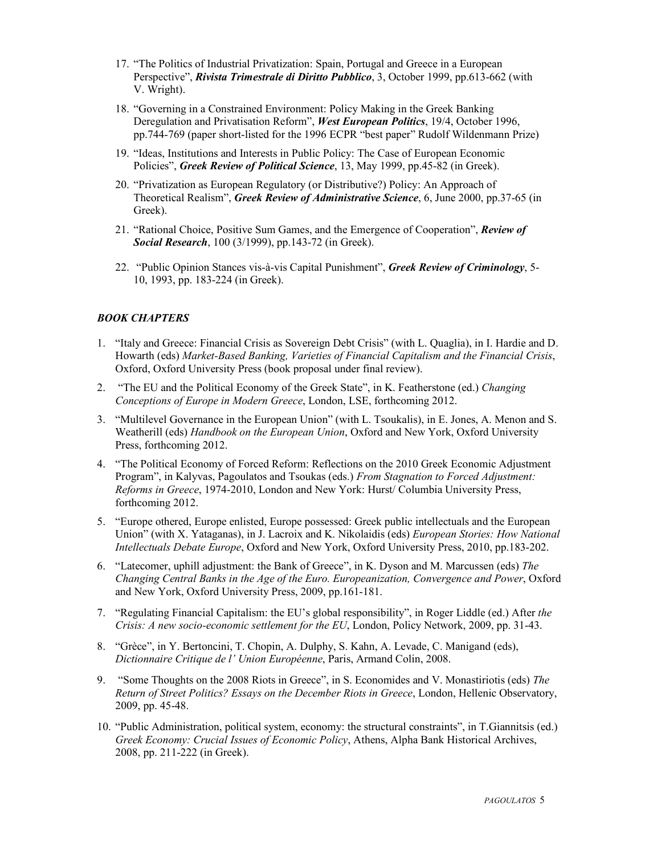- 17. "The Politics of Industrial Privatization: Spain, Portugal and Greece in a European Perspective", *Rivista Trimestrale di Diritto Pubblico*, 3, October 1999, pp.613-662 (with V. Wright).
- 18. "Governing in a Constrained Environment: Policy Making in the Greek Banking Deregulation and Privatisation Reform", *West European Politics*, 19/4, October 1996, pp.744-769 (paper short-listed for the 1996 ECPR "best paper" Rudolf Wildenmann Prize)
- 19. "Ideas, Institutions and Interests in Public Policy: The Case of European Economic Policies", *Greek Review of Political Science*, 13, May 1999, pp.45-82 (in Greek).
- 20. "Privatization as European Regulatory (or Distributive?) Policy: An Approach of Theoretical Realism", *Greek Review of Administrative Science*, 6, June 2000, pp.37-65 (in Greek).
- 21. "Rational Choice, Positive Sum Games, and the Emergence of Cooperation", *Review of Social Research*, 100 (3/1999), pp.143-72 (in Greek).
- 22. "Public Opinion Stances vis-à-vis Capital Punishment", *Greek Review of Criminology*, 5- 10, 1993, pp. 183-224 (in Greek).

### *BOOK CHAPTERS*

- 1. "Italy and Greece: Financial Crisis as Sovereign Debt Crisis" (with L. Quaglia), in I. Hardie and D. Howarth (eds) *Market-Based Banking, Varieties of Financial Capitalism and the Financial Crisis*, Oxford, Oxford University Press (book proposal under final review).
- 2. "The EU and the Political Economy of the Greek State", in K. Featherstone (ed.) *Changing Conceptions of Europe in Modern Greece*, London, LSE, forthcoming 2012.
- 3. "Multilevel Governance in the European Union" (with L. Tsoukalis), in E. Jones, A. Menon and S. Weatherill (eds) *Handbook on the European Union*, Oxford and New York, Oxford University Press, forthcoming 2012.
- 4. "Τhe Political Economy of Forced Reform: Reflections on the 2010 Greek Economic Adjustment Program", in Kalyvas, Pagoulatos and Tsoukas (eds.) *From Stagnation to Forced Adjustment: Reforms in Greece*, 1974-2010, London and New York: Hurst/ Columbia University Press, forthcoming 2012.
- 5. "Europe othered, Europe enlisted, Europe possessed: Greek public intellectuals and the European Union" (with X. Yataganas), in J. Lacroix and K. Nikolaidis (eds) *European Stories: How National Intellectuals Debate Europe*, Oxford and New York, Oxford University Press, 2010, pp.183-202.
- 6. "Latecomer, uphill adjustment: the Bank of Greece", in K. Dyson and M. Marcussen (eds) *The Changing Central Banks in the Age of the Euro. Europeanization, Convergence and Power*, Oxford and New York, Oxford University Press, 2009, pp.161-181.
- 7. "Regulating Financial Capitalism: the EU's global responsibility", in Roger Liddle (ed.) After *the Crisis: A new socio-economic settlement for the EU*, London, Policy Network, 2009, pp. 31-43.
- 8. "Grèce", in Y. Bertoncini, T. Chopin, A. Dulphy, S. Kahn, A. Levade, C. Manigand (eds), *Dictionnaire Critique de l' Union Européenne*, Paris, Armand Colin, 2008.
- 9. "Some Thoughts on the 2008 Riots in Greece", in S. Economides and V. Monastiriotis (eds) *The Return of Street Politics? Essays on the December Riots in Greece*, London, Hellenic Observatory, 2009, pp. 45-48.
- 10. "Public Administration, political system, economy: the structural constraints", in T.Giannitsis (ed.) *Greek Economy: Crucial Issues of Economic Policy*, Athens, Alpha Bank Historical Archives, 2008, pp. 211-222 (in Greek).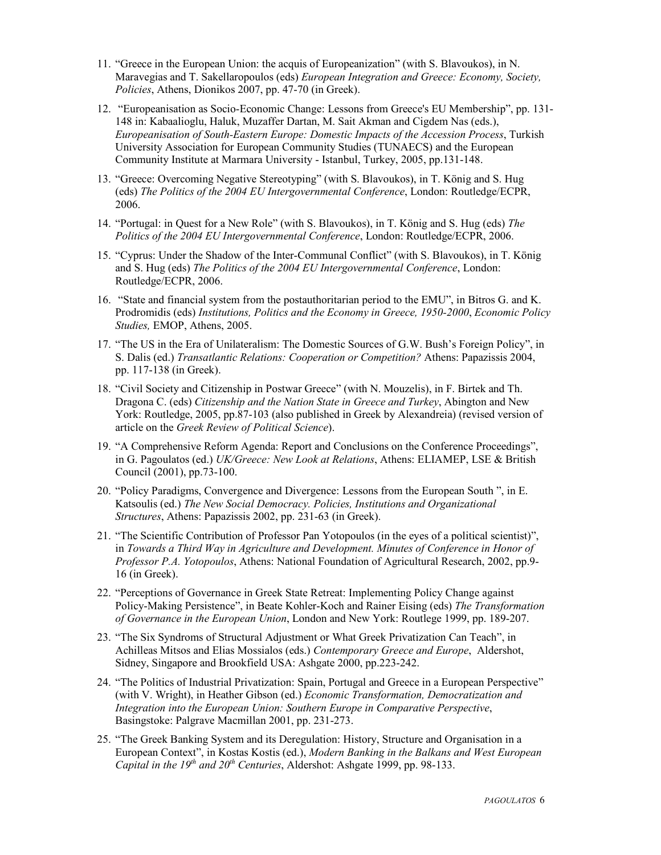- 11. "Greece in the European Union: the acquis of Europeanization" (with S. Blavoukos), in Ν. Maravegias and T. Sakellaropoulos (eds) *European Integration and Greece: Economy, Society, Policies*, Athens, Dionikos 2007, pp. 47-70 (in Greek).
- 12. "Europeanisation as Socio-Economic Change: Lessons from Greece's EU Membership", pp. 131- 148 in: Kabaalioglu, Haluk, Muzaffer Dartan, M. Sait Akman and Cigdem Nas (eds.), *Europeanisation of South-Eastern Europe: Domestic Impacts of the Accession Process*, Turkish University Association for European Community Studies (TUNAECS) and the European Community Institute at Marmara University - Istanbul, Turkey, 2005, pp.131-148.
- 13. "Greece: Overcoming Negative Stereotyping" (with S. Blavoukos), in T. König and S. Hug (eds) *The Politics of the 2004 EU Intergovernmental Conference*, London: Routledge/ECPR, 2006.
- 14. "Portugal: in Quest for a New Role" (with S. Blavoukos), in T. König and S. Hug (eds) *The Politics of the 2004 EU Intergovernmental Conference*, London: Routledge/ECPR, 2006.
- 15. "Cyprus: Under the Shadow of the Inter-Communal Conflict" (with S. Blavoukos), in T. König and S. Hug (eds) *The Politics of the 2004 EU Intergovernmental Conference*, London: Routledge/ECPR, 2006.
- 16. "State and financial system from the postauthoritarian period to the EMU", in Bitros G. and Κ. Prodromidis (eds) *Institutions, Politics and the Economy in Greece, 1950-2000*, *Economic Policy Studies,* EMOP, Athens, 2005.
- 17. "The US in the Era of Unilateralism: The Domestic Sources of G.W. Bush's Foreign Policy", in S. Dalis (ed.) *Transatlantic Relations: Cooperation or Competition?* Αthens: Papazissis 2004, pp. 117-138 (in Greek).
- 18. "Civil Society and Citizenship in Postwar Greece" (with N. Mouzelis), in F. Birtek and Th. Dragona C. (eds) *Citizenship and the Nation State in Greece and Turkey*, Abington and New York: Routledge, 2005, pp.87-103 (also published in Greek by Alexandreia) (revised version of article on the *Greek Review of Political Science*).
- 19. "A Comprehensive Reform Agenda: Report and Conclusions on the Conference Proceedings", in G. Pagoulatos (ed.) *UK/Greece: New Look at Relations*, Athens: ELIAMEP, LSE & British Council (2001), pp.73-100.
- 20. "Policy Paradigms, Convergence and Divergence: Lessons from the European South ", in E. Katsoulis (ed.) *The New Social Democracy. Policies, Institutions and Organizational Structures*, Athens: Papazissis 2002, pp. 231-63 (in Greek).
- 21. "The Scientific Contribution of Professor Pan Yotopoulos (in the eyes of a political scientist)", in *Towards a Third Way in Agriculture and Development. Minutes of Conference in Honor of Professor P.A. Yotopoulos*, Athens: National Foundation of Agricultural Research, 2002, pp.9- 16 (in Greek).
- 22. "Perceptions of Governance in Greek State Retreat: Implementing Policy Change against Policy-Making Persistence", in Beate Kohler-Koch and Rainer Eising (eds) *The Transformation of Governance in the European Union*, London and New York: Routlege 1999, pp. 189-207.
- 23. "The Six Syndroms of Structural Adjustment or What Greek Privatization Can Teach", in Achilleas Mitsos and Elias Mossialos (eds.) *Contemporary Greece and Europe*, Aldershot, Sidney, Singapore and Brookfield USA: Ashgate 2000, pp.223-242.
- 24. "The Politics of Industrial Privatization: Spain, Portugal and Greece in a European Perspective" (with V. Wright), in Heather Gibson (ed.) *Economic Transformation, Democratization and Integration into the European Union: Southern Europe in Comparative Perspective*, Basingstoke: Palgrave Macmillan 2001, pp. 231-273.
- 25. "The Greek Banking System and its Deregulation: History, Structure and Organisation in a European Context", in Kostas Kostis (ed.), *Modern Banking in the Balkans and West European Capital in the 19th and 20th Centuries*, Aldershot: Ashgate 1999, pp. 98-133.